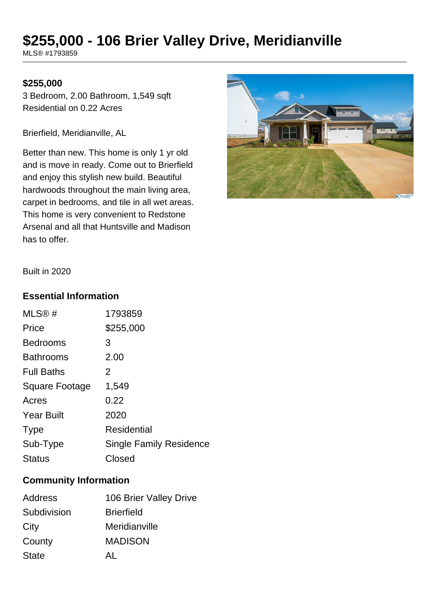## **\$255,000 - 106 Brier Valley Drive, Meridianville**

MLS® #1793859

## **\$255,000**

3 Bedroom, 2.00 Bathroom, 1,549 sqft Residential on 0.22 Acres

Brierfield, Meridianville, AL

Better than new. This home is only 1 yr old and is move in ready. Come out to Brierfield and enjoy this stylish new build. Beautiful hardwoods throughout the main living area, carpet in bedrooms, and tile in all wet areas. This home is very convenient to Redstone Arsenal and all that Huntsville and Madison has to offer.



Built in 2020

## **Essential Information**

| 1793859                 |
|-------------------------|
| \$255,000               |
| 3                       |
| 2.00                    |
| 2                       |
| 1,549                   |
| 0.22                    |
| 2020                    |
| <b>Residential</b>      |
| Single Family Residence |
| Closed                  |
|                         |

## **Community Information**

| Address      | 106 Brier Valley Drive |
|--------------|------------------------|
| Subdivision  | <b>Brierfield</b>      |
| City         | Meridianville          |
| County       | <b>MADISON</b>         |
| <b>State</b> | ΔI                     |